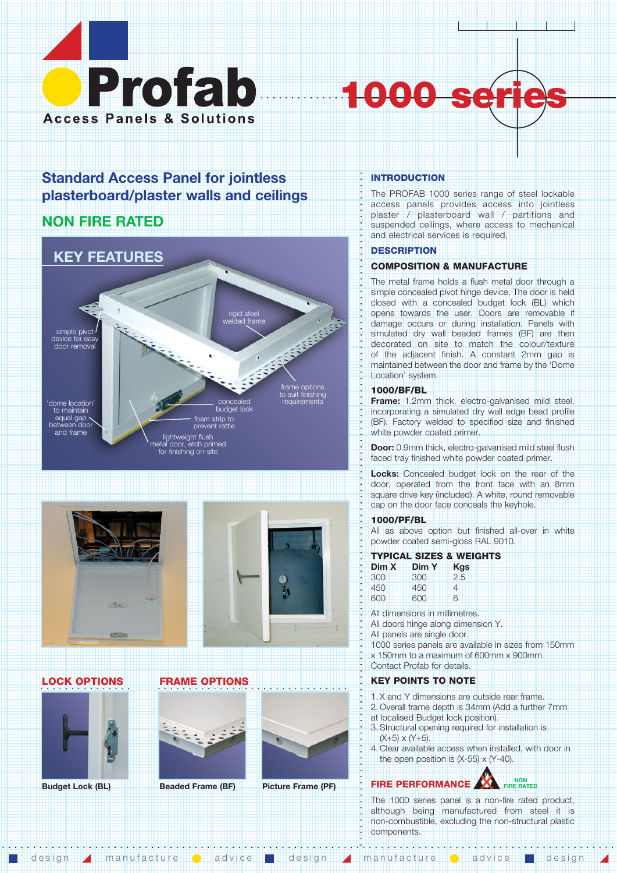

# **1000**

# **Standard Access Panel for jointless plasterboard/plaster walls and ceilings**

# **NON FIRE RATED**





# **LOCK OPTIONS**





**FRAME OPTIONS**



# **Beaded Frame (BF) Picture Frame (PF)**

# **INTRODUCTION**

1999 - 1999 - 199<br>1999 - 1999 - 199

The PROFAB 1000 series range of steel lockable access panels provides access into jointless plaster / plasterboard wall / partitions and suspended ceilings, where access to mechanical and electrical services is required.

# **DESCRIPTION**

# **COMPOSITION & MANUFACTURE**

The metal frame holds a flush metal door through a simple concealed pivot hinge device. The door is held closed with a concealed budget lock (BL) which opens towards the user. Doors are removable if damage occurs or during installation. Panels with simulated dry wall beaded frames (BF) are then decorated on site to match the colour/texture of the adjacent finish. A constant 2mm gap is maintained between the door and frame by the 'Dome Location' system.

# **1000/BF/BL**

**Frame:** 1.2mm thick, electro-galvanised mild steel, incorporating a simulated dry wall edge bead profile (BF). Factory welded to specified size and finished white powder coated primer.

**Door:** 0.9mm thick, electro-galvanised mild steel flush faced tray finished white powder coated primer.

Locks: Concealed budget lock on the rear of the door, operated from the front face with an 8mm square drive key (included). A white, round removable cap on the door face conceals the keyhole.

# **1000/PF/BL**

All as above option but finished all-over in white powder coated semi-gloss RAL 9010.

# **TYPICAL SIZES & WEIGHTS**

| Dim X | Dim Y | <b>Kgs</b> |
|-------|-------|------------|
| 300   | 300   | 2.5        |
| 450   | 450   | 4          |
| 600   | 600   | 6          |

All dimensions in millimetres. All doors hinge along dimension Y.

All panels are single door.

1000 series panels are available in sizes from 150mm x 150mm to a maximum of 600mm x 900mm. Contact Profab for details.

# **KEY POINTS TO NOTE**

- 1. X and Y dimensions are outside rear frame.
- 2. Overall frame depth is 34mm (Add a further 7mm
- at localised Budget lock position).
- 3. Structural opening required for installation is  $(X+5) \times (Y+5)$ .
- 4. Clear available access when installed, with door in the open position is  $(X-55) \times (Y-40)$ .

### **Budget Lock (BL) Beaded Frame (BF) Picture Frame (PF) FIRE PERFORMANCE AND FIRE RAND FIRE RATED**

The 1000 series panel is a non-fire rated product, although being manufactured from steel it is non-combustible, excluding the non-structural plastic components.

design **A** manufacture **a** advice **a** design **A** manufacture **a** advice **a** design